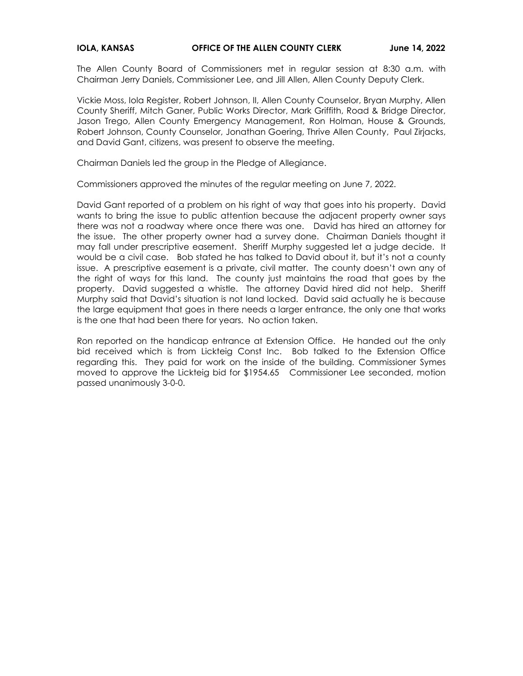The Allen County Board of Commissioners met in regular session at 8:30 a.m. with Chairman Jerry Daniels, Commissioner Lee, and Jill Allen, Allen County Deputy Clerk.

Vickie Moss, Iola Register, Robert Johnson, II, Allen County Counselor, Bryan Murphy, Allen County Sheriff, Mitch Ganer, Public Works Director, Mark Griffith, Road & Bridge Director, Jason Trego, Allen County Emergency Management, Ron Holman, House & Grounds, Robert Johnson, County Counselor, Jonathan Goering, Thrive Allen County, Paul Zirjacks, and David Gant, citizens, was present to observe the meeting.

Chairman Daniels led the group in the Pledge of Allegiance.

Commissioners approved the minutes of the regular meeting on June 7, 2022.

David Gant reported of a problem on his right of way that goes into his property. David wants to bring the issue to public attention because the adjacent property owner says there was not a roadway where once there was one. David has hired an attorney for the issue. The other property owner had a survey done. Chairman Daniels thought it may fall under prescriptive easement. Sheriff Murphy suggested let a judge decide. It would be a civil case. Bob stated he has talked to David about it, but it's not a county issue. A prescriptive easement is a private, civil matter. The county doesn't own any of the right of ways for this land. The county just maintains the road that goes by the property. David suggested a whistle. The attorney David hired did not help. Sheriff Murphy said that David's situation is not land locked. David said actually he is because the large equipment that goes in there needs a larger entrance, the only one that works is the one that had been there for years. No action taken.

Ron reported on the handicap entrance at Extension Office. He handed out the only bid received which is from Lickteig Const Inc. Bob talked to the Extension Office regarding this. They paid for work on the inside of the building. Commissioner Symes moved to approve the Lickteig bid for \$1954.65 Commissioner Lee seconded, motion passed unanimously 3-0-0.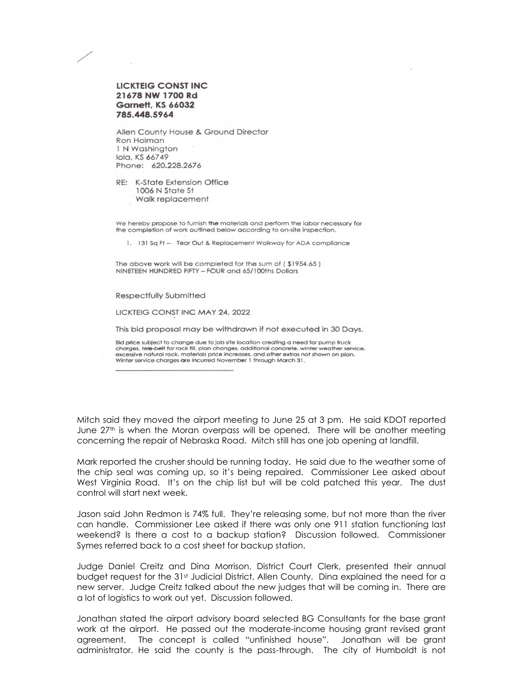

Allen County House & Ground Director Ron Holman 1 N Washington Iola, KS 66749 Phone: 620.228.2676

RE: K-State Extension Office 1006 N State St Walk replacement

We hereby propose to furnish the materials and perform the labor necessary for the completion of work outlined below according to on-site inspection.

1. 131 Sq Ft - Tear Out & Replacement Walkway for ADA compliance

The above work will be completed for the sum of (\$1954.65) NINETEEN HUNDRED FIFTY - FOUR and 65/100ths Dollars

**Respectfully Submitted** 

LICKTEIG CONST INC MAY 24, 2022

This bid proposal may be withdrawn if not executed in 30 Days.

Bid price subject to change due to job site location creating a need for pump truck charges, tele-belt for rock fill, plan changes, additional concrete, winter weather service,<br>excessive natural rock, materials price increases, and other extras not shown on plan, Winter service charges are incurred November 1 through March 31.

Mitch said they moved the airport meeting to June 25 at 3 pm. He said KDOT reported June  $27<sup>th</sup>$  is when the Moran overpass will be opened. There will be another meeting concerning the repair of Nebraska Road. Mitch still has one job opening at landfill.

Mark reported the crusher should be running today. He said due to the weather some of the chip seal was coming up, so it's being repaired. Commissioner Lee asked about West Virginia Road. It's on the chip list but will be cold patched this year. The dust control will start next week.

Jason said John Redmon is 74% full. They're releasing some, but not more than the river can handle. Commissioner Lee asked if there was only one 911 station functioning last weekend? Is there a cost to a backup station? Discussion followed. Commissioner Symes referred back to a cost sheet for backup station.

Judge Daniel Creitz and Dina Morrison, District Court Clerk, presented their annual budget request for the 31st Judicial District, Allen County. Dina explained the need for a new server. Judge Creitz talked about the new judges that will be coming in. There are a lot of logistics to work out yet. Discussion followed.

Jonathan stated the airport advisory board selected BG Consultants for the base grant work at the airport. He passed out the moderate-income housing grant revised grant agreement. The concept is called "unfinished house". Jonathan will be grant administrator. He said the county is the pass-through. The city of Humboldt is not